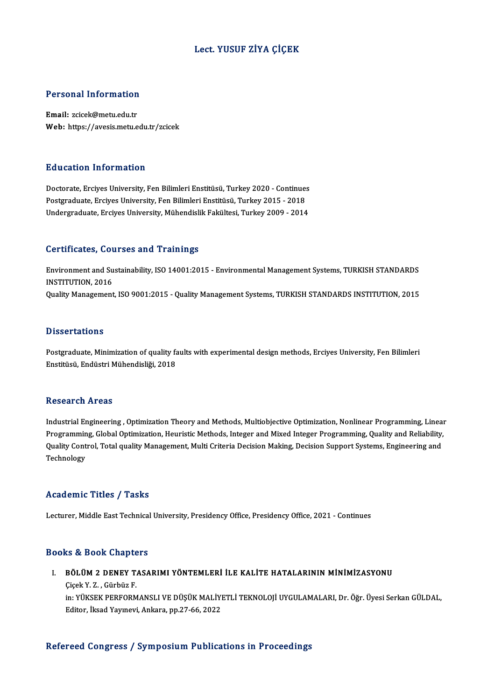## Lect. YUSUF ZİYA ÇİÇEK

# Personal Information

Personal Information<br>Email: zcicek@metu.edu.tr<br>Web. https://avesis.metu.e Email: zcicek@metu.edu.tr<br>Web: https://avesis.metu.edu.tr/zcicek

#### Education Information

Education Information<br>Doctorate, Erciyes University, Fen Bilimleri Enstitüsü, Turkey 2020 - Continues<br>Postsraduate Erciyes University, Fen Bilimleri Enstitüsü, Turkey 2015 - 2019 Puususeen minermatson<br>Doctorate, Erciyes University, Fen Bilimleri Enstitüsü, Turkey 2020 - Continue:<br>Postgraduate, Erciyes University, Fen Bilimleri Enstitüsü, Turkey 2015 - 2018<br>Undergraduate, Erciyes University, Mühandi Postgraduate, Erciyes University, Fen Bilimleri Enstitüsü, Turkey 2015 - 2018<br>Undergraduate, Erciyes University, Mühendislik Fakültesi, Turkey 2009 - 2014

#### Certificates, Courses and Trainings

Certificates, Courses and Trainings<br>Environment and Sustainability, ISO 14001:2015 - Environmental Management Systems, TURKISH STANDARDS<br>INSTITUTION, 2016 **Experimented Superior Set<br>Institution, 2016**<br>Cuality Management INSTITUTION, 2016<br>Quality Management, ISO 9001:2015 - Quality Management Systems, TURKISH STANDARDS INSTITUTION, 2015

#### **Dissertations**

Postgraduate, Minimization of quality faults with experimental design methods, Erciyes University, Fen Bilimleri Enstitüsü, Endüstri Mühendisliği, 2018

#### **Research Areas**

Research Areas<br>Industrial Engineering , Optimization Theory and Methods, Multiobjective Optimization, Nonlinear Programming, Linear<br>Programming, Clobal Optimization, Houristic Methods, Integer and Mived Integer Programming resear en 111 025<br>Industrial Engineering , Optimization Theory and Methods, Multiobjective Optimization, Nonlinear Programming,<br>Puality Control, Tetal quality Managament, Multi Critoria Dogicion Malting, Dogicion Sunnort S Industrial Engineering , Optimization Theory and Methods, Multiobjective Optimization, Nonlinear Programming, Linea<br>Programming, Global Optimization, Heuristic Methods, Integer and Mixed Integer Programming, Quality and Re Programming, Global Optimization, Heuristic Methods, Integer and Mixed Integer Programming, Quality and Reliability,<br>Quality Control, Total quality Management, Multi Criteria Decision Making, Decision Support Systems, Engi

### Academic Titles / Tasks

Lecturer, Middle East Technical University, Presidency Office, Presidency Office, 2021 - Continues

#### Books&Book Chapters

ooks & Book Chapters<br>I. BÖLÜM 2 DENEY TASARIMI YÖNTEMLERİ İLE KALİTE HATALARININ MİNİMİZASYONU<br> Gisek V. 7 Gürbüz E **EV LOOK SHAPES**<br>BÖLÜM 2 DENEY T.<br>Çiçek Y.Z., Gürbüz F. Çiçek Y. Z. , Gürbüz F.<br>in: YÜKSEK PERFORMANSLI VE DÜŞÜK MALİYETLİ TEKNOLOJİ UYGULAMALARI, Dr. Öğr. Üyesi Serkan GÜLDAL, Editor, İksad Yayınevi, Ankara, pp.27-66, 2022

#### Refereed Congress / Symposium Publications in Proceedings